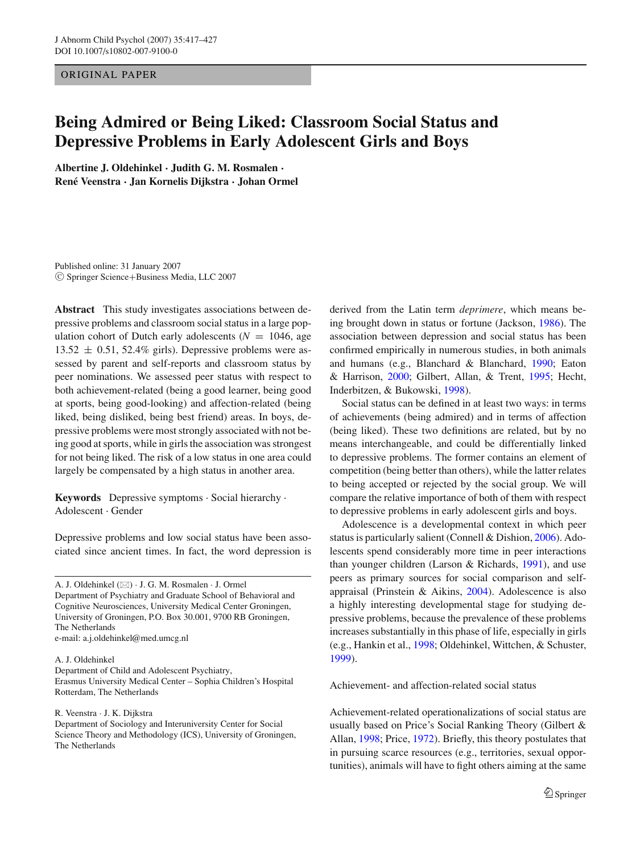# ORIGINAL PAPER

# **Being Admired or Being Liked: Classroom Social Status and Depressive Problems in Early Adolescent Girls and Boys**

**Albertine J. Oldehinkel · Judith G. M. Rosmalen · Rene Veenstra ´ · Jan Kornelis Dijkstra · Johan Ormel**

Published online: 31 January 2007 <sup>C</sup> Springer Science+Business Media, LLC 2007

**Abstract** This study investigates associations between depressive problems and classroom social status in a large population cohort of Dutch early adolescents ( $N = 1046$ , age  $13.52 \pm 0.51$ , 52.4% girls). Depressive problems were assessed by parent and self-reports and classroom status by peer nominations. We assessed peer status with respect to both achievement-related (being a good learner, being good at sports, being good-looking) and affection-related (being liked, being disliked, being best friend) areas. In boys, depressive problems were most strongly associated with not being good at sports, while in girls the association was strongest for not being liked. The risk of a low status in one area could largely be compensated by a high status in another area.

**Keywords** Depressive symptoms . Social hierarchy . Adolescent . Gender

Depressive problems and low social status have been associated since ancient times. In fact, the word depression is

A. J. Oldehinkel ( $\boxtimes$ ) · J. G. M. Rosmalen · J. Ormel Department of Psychiatry and Graduate School of Behavioral and Cognitive Neurosciences, University Medical Center Groningen, University of Groningen, P.O. Box 30.001, 9700 RB Groningen, The Netherlands e-mail: a.j.oldehinkel@med.umcg.nl

#### A. J. Oldehinkel

Department of Child and Adolescent Psychiatry, Erasmus University Medical Center – Sophia Children's Hospital Rotterdam, The Netherlands

R. Veenstra · J. K. Dijkstra

Department of Sociology and Interuniversity Center for Social Science Theory and Methodology (ICS), University of Groningen, The Netherlands

derived from the Latin term *deprimere*, which means being brought down in status or fortune (Jackson, [1986\)](#page-10-0). The association between depression and social status has been confirmed empirically in numerous studies, in both animals and humans (e.g., Blanchard & Blanchard, [1990;](#page-9-0) Eaton & Harrison, [2000;](#page-9-1) Gilbert, Allan, & Trent, [1995;](#page-9-2) Hecht, Inderbitzen, & Bukowski, [1998\)](#page-10-1).

Social status can be defined in at least two ways: in terms of achievements (being admired) and in terms of affection (being liked). These two definitions are related, but by no means interchangeable, and could be differentially linked to depressive problems. The former contains an element of competition (being better than others), while the latter relates to being accepted or rejected by the social group. We will compare the relative importance of both of them with respect to depressive problems in early adolescent girls and boys.

Adolescence is a developmental context in which peer status is particularly salient (Connell & Dishion, [2006\)](#page-9-3). Adolescents spend considerably more time in peer interactions than younger children (Larson & Richards, [1991\)](#page-10-2), and use peers as primary sources for social comparison and selfappraisal (Prinstein & Aikins, [2004\)](#page-10-3). Adolescence is also a highly interesting developmental stage for studying depressive problems, because the prevalence of these problems increases substantially in this phase of life, especially in girls (e.g., Hankin et al., [1998;](#page-10-4) Oldehinkel, Wittchen, & Schuster, [1999\)](#page-10-5).

Achievement- and affection-related social status

Achievement-related operationalizations of social status are usually based on Price's Social Ranking Theory (Gilbert & Allan, [1998;](#page-9-4) Price, [1972\)](#page-10-6). Briefly, this theory postulates that in pursuing scarce resources (e.g., territories, sexual opportunities), animals will have to fight others aiming at the same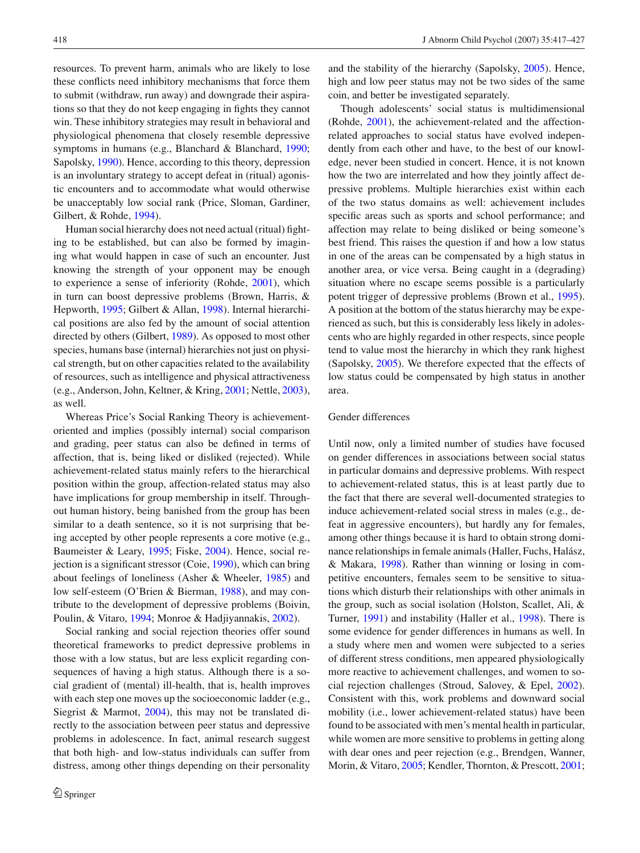resources. To prevent harm, animals who are likely to lose these conflicts need inhibitory mechanisms that force them to submit (withdraw, run away) and downgrade their aspirations so that they do not keep engaging in fights they cannot win. These inhibitory strategies may result in behavioral and physiological phenomena that closely resemble depressive symptoms in humans (e.g., Blanchard & Blanchard, [1990;](#page-9-0) Sapolsky, [1990\)](#page-10-7). Hence, according to this theory, depression is an involuntary strategy to accept defeat in (ritual) agonistic encounters and to accommodate what would otherwise be unacceptably low social rank (Price, Sloman, Gardiner, Gilbert, & Rohde, [1994\)](#page-10-8).

Human social hierarchy does not need actual (ritual) fighting to be established, but can also be formed by imagining what would happen in case of such an encounter. Just knowing the strength of your opponent may be enough to experience a sense of inferiority (Rohde, [2001\)](#page-10-9), which in turn can boost depressive problems (Brown, Harris, & Hepworth, [1995;](#page-9-5) Gilbert & Allan, [1998\)](#page-9-4). Internal hierarchical positions are also fed by the amount of social attention directed by others (Gilbert, [1989\)](#page-9-6). As opposed to most other species, humans base (internal) hierarchies not just on physical strength, but on other capacities related to the availability of resources, such as intelligence and physical attractiveness (e.g., Anderson, John, Keltner, & Kring, [2001;](#page-9-7) Nettle, [2003\)](#page-10-10), as well.

Whereas Price's Social Ranking Theory is achievementoriented and implies (possibly internal) social comparison and grading, peer status can also be defined in terms of affection, that is, being liked or disliked (rejected). While achievement-related status mainly refers to the hierarchical position within the group, affection-related status may also have implications for group membership in itself. Throughout human history, being banished from the group has been similar to a death sentence, so it is not surprising that being accepted by other people represents a core motive (e.g., Baumeister & Leary, [1995;](#page-9-8) Fiske, [2004\)](#page-9-9). Hence, social rejection is a significant stressor (Coie, [1990\)](#page-9-10), which can bring about feelings of loneliness (Asher & Wheeler, [1985\)](#page-9-11) and low self-esteem (O'Brien & Bierman, [1988\)](#page-10-11), and may contribute to the development of depressive problems (Boivin, Poulin, & Vitaro, [1994;](#page-9-12) Monroe & Hadjiyannakis, [2002\)](#page-10-12).

Social ranking and social rejection theories offer sound theoretical frameworks to predict depressive problems in those with a low status, but are less explicit regarding consequences of having a high status. Although there is a social gradient of (mental) ill-health, that is, health improves with each step one moves up the socioeconomic ladder (e.g., Siegrist & Marmot, [2004\)](#page-10-13), this may not be translated directly to the association between peer status and depressive problems in adolescence. In fact, animal research suggest that both high- and low-status individuals can suffer from distress, among other things depending on their personality and the stability of the hierarchy (Sapolsky, [2005\)](#page-10-14). Hence, high and low peer status may not be two sides of the same coin, and better be investigated separately.

Though adolescents' social status is multidimensional (Rohde, [2001\)](#page-10-9), the achievement-related and the affectionrelated approaches to social status have evolved independently from each other and have, to the best of our knowledge, never been studied in concert. Hence, it is not known how the two are interrelated and how they jointly affect depressive problems. Multiple hierarchies exist within each of the two status domains as well: achievement includes specific areas such as sports and school performance; and affection may relate to being disliked or being someone's best friend. This raises the question if and how a low status in one of the areas can be compensated by a high status in another area, or vice versa. Being caught in a (degrading) situation where no escape seems possible is a particularly potent trigger of depressive problems (Brown et al., [1995\)](#page-9-5). A position at the bottom of the status hierarchy may be experienced as such, but this is considerably less likely in adolescents who are highly regarded in other respects, since people tend to value most the hierarchy in which they rank highest (Sapolsky, [2005\)](#page-10-14). We therefore expected that the effects of low status could be compensated by high status in another area.

#### Gender differences

Until now, only a limited number of studies have focused on gender differences in associations between social status in particular domains and depressive problems. With respect to achievement-related status, this is at least partly due to the fact that there are several well-documented strategies to induce achievement-related social stress in males (e.g., defeat in aggressive encounters), but hardly any for females, among other things because it is hard to obtain strong dominance relationships in female animals (Haller, Fuchs, Halász, & Makara, [1998\)](#page-10-15). Rather than winning or losing in competitive encounters, females seem to be sensitive to situations which disturb their relationships with other animals in the group, such as social isolation (Holston, Scallet, Ali, & Turner, [1991\)](#page-10-16) and instability (Haller et al., [1998\)](#page-10-15). There is some evidence for gender differences in humans as well. In a study where men and women were subjected to a series of different stress conditions, men appeared physiologically more reactive to achievement challenges, and women to social rejection challenges (Stroud, Salovey, & Epel, [2002\)](#page-10-17). Consistent with this, work problems and downward social mobility (i.e., lower achievement-related status) have been found to be associated with men's mental health in particular, while women are more sensitive to problems in getting along with dear ones and peer rejection (e.g., Brendgen, Wanner, Morin, & Vitaro, [2005;](#page-9-13) Kendler, Thornton, & Prescott, [2001;](#page-10-18)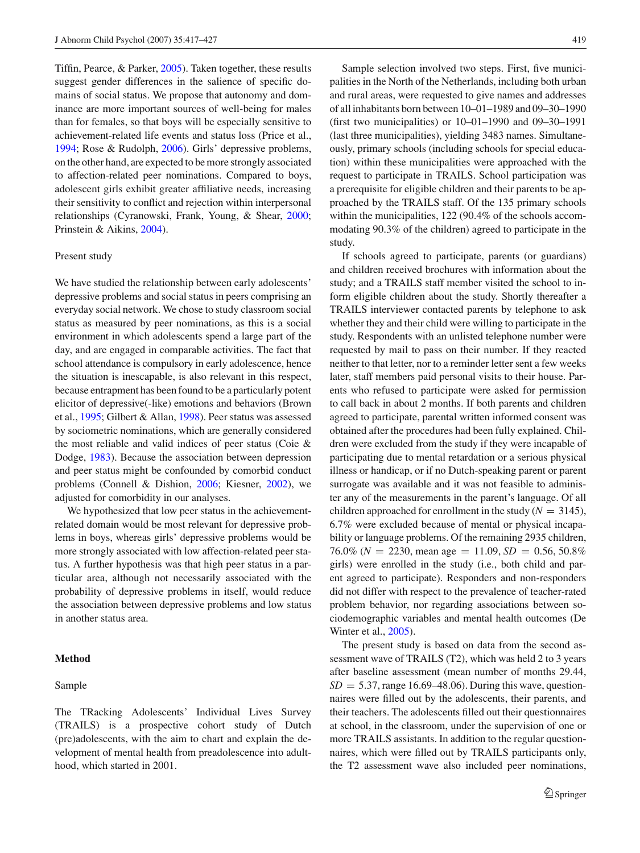Tiffin, Pearce, & Parker, [2005\)](#page-10-19). Taken together, these results suggest gender differences in the salience of specific domains of social status. We propose that autonomy and dominance are more important sources of well-being for males than for females, so that boys will be especially sensitive to achievement-related life events and status loss (Price et al., [1994;](#page-10-8) Rose & Rudolph, [2006\)](#page-10-20). Girls' depressive problems, on the other hand, are expected to be more strongly associated to affection-related peer nominations. Compared to boys, adolescent girls exhibit greater affiliative needs, increasing their sensitivity to conflict and rejection within interpersonal relationships (Cyranowski, Frank, Young, & Shear, [2000;](#page-9-14) Prinstein & Aikins, [2004\)](#page-10-3).

#### Present study

We have studied the relationship between early adolescents' depressive problems and social status in peers comprising an everyday social network. We chose to study classroom social status as measured by peer nominations, as this is a social environment in which adolescents spend a large part of the day, and are engaged in comparable activities. The fact that school attendance is compulsory in early adolescence, hence the situation is inescapable, is also relevant in this respect, because entrapment has been found to be a particularly potent elicitor of depressive(-like) emotions and behaviors (Brown et al., [1995;](#page-9-5) Gilbert & Allan, [1998\)](#page-9-4). Peer status was assessed by sociometric nominations, which are generally considered the most reliable and valid indices of peer status (Coie & Dodge, [1983\)](#page-9-15). Because the association between depression and peer status might be confounded by comorbid conduct problems (Connell & Dishion, [2006;](#page-9-3) Kiesner, [2002\)](#page-10-21), we adjusted for comorbidity in our analyses.

We hypothesized that low peer status in the achievementrelated domain would be most relevant for depressive problems in boys, whereas girls' depressive problems would be more strongly associated with low affection-related peer status. A further hypothesis was that high peer status in a particular area, although not necessarily associated with the probability of depressive problems in itself, would reduce the association between depressive problems and low status in another status area.

## **Method**

# Sample

The TRacking Adolescents' Individual Lives Survey (TRAILS) is a prospective cohort study of Dutch (pre)adolescents, with the aim to chart and explain the development of mental health from preadolescence into adulthood, which started in 2001.

Sample selection involved two steps. First, five municipalities in the North of the Netherlands, including both urban and rural areas, were requested to give names and addresses of all inhabitants born between 10–01–1989 and 09–30–1990 (first two municipalities) or 10–01–1990 and 09–30–1991 (last three municipalities), yielding 3483 names. Simultaneously, primary schools (including schools for special education) within these municipalities were approached with the request to participate in TRAILS. School participation was a prerequisite for eligible children and their parents to be approached by the TRAILS staff. Of the 135 primary schools within the municipalities, 122 (90.4% of the schools accommodating 90.3% of the children) agreed to participate in the study.

If schools agreed to participate, parents (or guardians) and children received brochures with information about the study; and a TRAILS staff member visited the school to inform eligible children about the study. Shortly thereafter a TRAILS interviewer contacted parents by telephone to ask whether they and their child were willing to participate in the study. Respondents with an unlisted telephone number were requested by mail to pass on their number. If they reacted neither to that letter, nor to a reminder letter sent a few weeks later, staff members paid personal visits to their house. Parents who refused to participate were asked for permission to call back in about 2 months. If both parents and children agreed to participate, parental written informed consent was obtained after the procedures had been fully explained. Children were excluded from the study if they were incapable of participating due to mental retardation or a serious physical illness or handicap, or if no Dutch-speaking parent or parent surrogate was available and it was not feasible to administer any of the measurements in the parent's language. Of all children approached for enrollment in the study  $(N = 3145)$ , 6.7% were excluded because of mental or physical incapability or language problems. Of the remaining 2935 children, 76.0% ( $N = 2230$ , mean age = 11.09,  $SD = 0.56$ , 50.8% girls) were enrolled in the study (i.e., both child and parent agreed to participate). Responders and non-responders did not differ with respect to the prevalence of teacher-rated problem behavior, nor regarding associations between sociodemographic variables and mental health outcomes (De Winter et al., [2005\)](#page-9-16).

The present study is based on data from the second assessment wave of TRAILS (T2), which was held 2 to 3 years after baseline assessment (mean number of months 29.44,  $SD = 5.37$ , range 16.69–48.06). During this wave, questionnaires were filled out by the adolescents, their parents, and their teachers. The adolescents filled out their questionnaires at school, in the classroom, under the supervision of one or more TRAILS assistants. In addition to the regular questionnaires, which were filled out by TRAILS participants only, the T2 assessment wave also included peer nominations,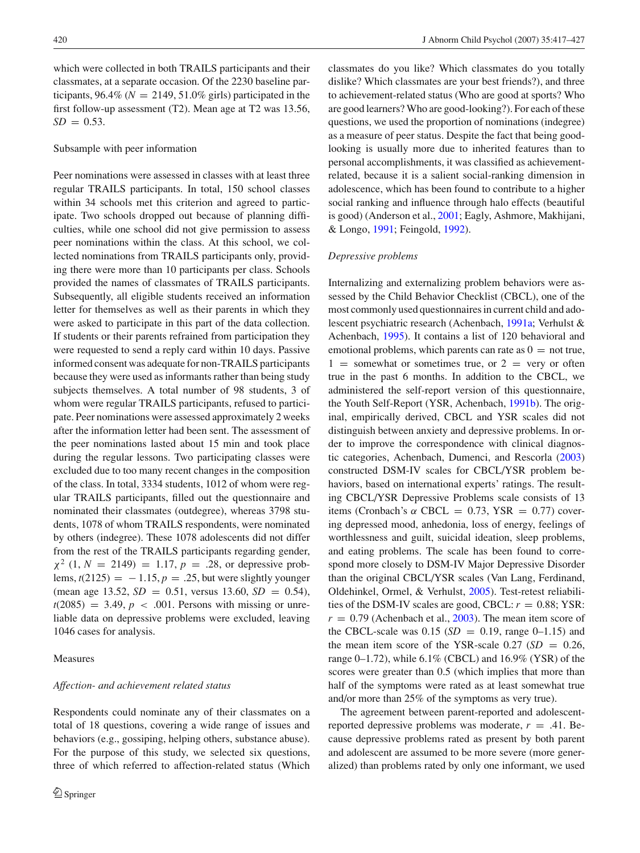which were collected in both TRAILS participants and their classmates, at a separate occasion. Of the 2230 baseline participants,  $96.4\%$  ( $N = 2149, 51.0\%$  girls) participated in the first follow-up assessment (T2). Mean age at T2 was 13.56,  $SD = 0.53$ .

#### Subsample with peer information

Peer nominations were assessed in classes with at least three regular TRAILS participants. In total, 150 school classes within 34 schools met this criterion and agreed to participate. Two schools dropped out because of planning difficulties, while one school did not give permission to assess peer nominations within the class. At this school, we collected nominations from TRAILS participants only, providing there were more than 10 participants per class. Schools provided the names of classmates of TRAILS participants. Subsequently, all eligible students received an information letter for themselves as well as their parents in which they were asked to participate in this part of the data collection. If students or their parents refrained from participation they were requested to send a reply card within 10 days. Passive informed consent was adequate for non-TRAILS participants because they were used as informants rather than being study subjects themselves. A total number of 98 students, 3 of whom were regular TRAILS participants, refused to participate. Peer nominations were assessed approximately 2 weeks after the information letter had been sent. The assessment of the peer nominations lasted about 15 min and took place during the regular lessons. Two participating classes were excluded due to too many recent changes in the composition of the class. In total, 3334 students, 1012 of whom were regular TRAILS participants, filled out the questionnaire and nominated their classmates (outdegree), whereas 3798 students, 1078 of whom TRAILS respondents, were nominated by others (indegree). These 1078 adolescents did not differ from the rest of the TRAILS participants regarding gender,  $\chi^2$  (1, *N* = 2149) = 1.17, *p* = .28, or depressive problems,  $t(2125) = -1.15$ ,  $p = .25$ , but were slightly younger  $(\text{mean age } 13.52, SD = 0.51, \text{ versus } 13.60, SD = 0.54),$  $t(2085) = 3.49$ ,  $p < .001$ . Persons with missing or unreliable data on depressive problems were excluded, leaving 1046 cases for analysis.

## Measures

# *Affection- and achievement related status*

Respondents could nominate any of their classmates on a total of 18 questions, covering a wide range of issues and behaviors (e.g., gossiping, helping others, substance abuse). For the purpose of this study, we selected six questions, three of which referred to affection-related status (Which

classmates do you like? Which classmates do you totally dislike? Which classmates are your best friends?), and three to achievement-related status (Who are good at sports? Who are good learners? Who are good-looking?). For each of these questions, we used the proportion of nominations (indegree) as a measure of peer status. Despite the fact that being goodlooking is usually more due to inherited features than to personal accomplishments, it was classified as achievementrelated, because it is a salient social-ranking dimension in adolescence, which has been found to contribute to a higher social ranking and influence through halo effects (beautiful is good) (Anderson et al., [2001;](#page-9-7) Eagly, Ashmore, Makhijani, & Longo, [1991;](#page-9-17) Feingold, [1992\)](#page-9-18).

### *Depressive problems*

Internalizing and externalizing problem behaviors were assessed by the Child Behavior Checklist (CBCL), one of the most commonly used questionnaires in current child and adolescent psychiatric research (Achenbach, [1991a;](#page-9-19) Verhulst & Achenbach, [1995\)](#page-10-22). It contains a list of 120 behavioral and emotional problems, which parents can rate as  $0 =$  not true,  $1 =$  somewhat or sometimes true, or  $2 =$  very or often true in the past 6 months. In addition to the CBCL, we administered the self-report version of this questionnaire, the Youth Self-Report (YSR, Achenbach, [1991b\)](#page-9-20). The original, empirically derived, CBCL and YSR scales did not distinguish between anxiety and depressive problems. In order to improve the correspondence with clinical diagnostic categories, Achenbach, Dumenci, and Rescorla [\(2003\)](#page-9-21) constructed DSM-IV scales for CBCL/YSR problem behaviors, based on international experts' ratings. The resulting CBCL/YSR Depressive Problems scale consists of 13 items (Cronbach's  $\alpha$  CBCL = 0.73, YSR = 0.77) covering depressed mood, anhedonia, loss of energy, feelings of worthlessness and guilt, suicidal ideation, sleep problems, and eating problems. The scale has been found to correspond more closely to DSM-IV Major Depressive Disorder than the original CBCL/YSR scales (Van Lang, Ferdinand, Oldehinkel, Ormel, & Verhulst, [2005\)](#page-10-23). Test-retest reliabilities of the DSM-IV scales are good, CBCL:  $r = 0.88$ ; YSR:  $r = 0.79$  (Achenbach et al., [2003\)](#page-9-21). The mean item score of the CBCL-scale was  $0.15$  (*SD* = 0.19, range 0–1.15) and the mean item score of the YSR-scale  $0.27$  (*SD* = 0.26, range  $0-1.72$ ), while  $6.1\%$  (CBCL) and  $16.9\%$  (YSR) of the scores were greater than 0.5 (which implies that more than half of the symptoms were rated as at least somewhat true and/or more than 25% of the symptoms as very true).

The agreement between parent-reported and adolescentreported depressive problems was moderate,  $r = .41$ . Because depressive problems rated as present by both parent and adolescent are assumed to be more severe (more generalized) than problems rated by only one informant, we used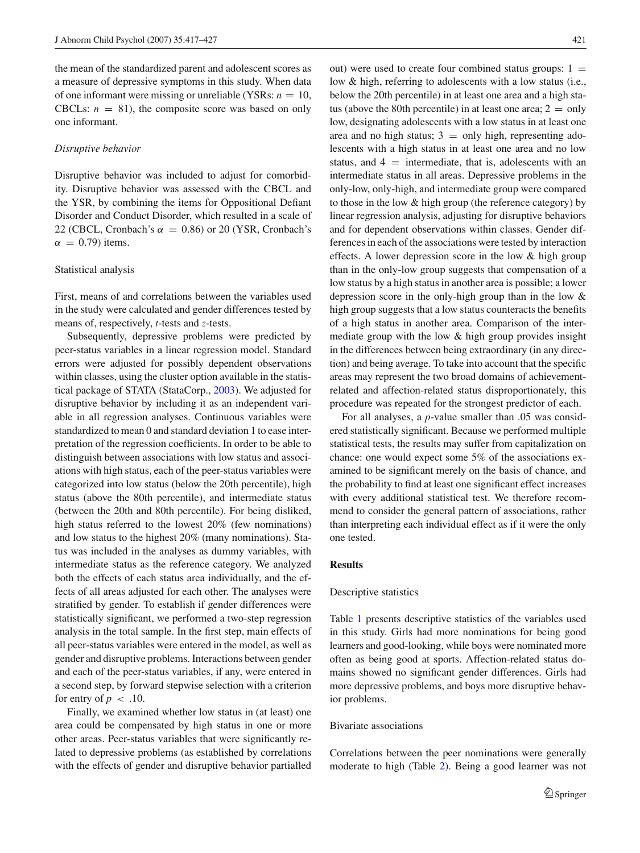the mean of the standardized parent and adolescent scores as a measure of depressive symptoms in this study. When data of one informant were missing or unreliable (YSRs:  $n = 10$ , CBCLs:  $n = 81$ ), the composite score was based on only one informant.

#### *Disruptive behavior*

Disruptive behavior was included to adjust for comorbidity. Disruptive behavior was assessed with the CBCL and the YSR, by combining the items for Oppositional Defiant Disorder and Conduct Disorder, which resulted in a scale of 22 (CBCL, Cronbach's  $\alpha = 0.86$ ) or 20 (YSR, Cronbach's  $\alpha = 0.79$  items.

### Statistical analysis

First, means of and correlations between the variables used in the study were calculated and gender differences tested by means of, respectively, *t*-tests and *z*-tests.

Subsequently, depressive problems were predicted by peer-status variables in a linear regression model. Standard errors were adjusted for possibly dependent observations within classes, using the cluster option available in the statistical package of STATA (StataCorp., [2003\)](#page-10-24). We adjusted for disruptive behavior by including it as an independent variable in all regression analyses. Continuous variables were standardized to mean 0 and standard deviation 1 to ease interpretation of the regression coefficients. In order to be able to distinguish between associations with low status and associations with high status, each of the peer-status variables were categorized into low status (below the 20th percentile), high status (above the 80th percentile), and intermediate status (between the 20th and 80th percentile). For being disliked, high status referred to the lowest 20% (few nominations) and low status to the highest 20% (many nominations). Status was included in the analyses as dummy variables, with intermediate status as the reference category. We analyzed both the effects of each status area individually, and the effects of all areas adjusted for each other. The analyses were stratified by gender. To establish if gender differences were statistically significant, we performed a two-step regression analysis in the total sample. In the first step, main effects of all peer-status variables were entered in the model, as well as gender and disruptive problems. Interactions between gender and each of the peer-status variables, if any, were entered in a second step, by forward stepwise selection with a criterion for entry of  $p < .10$ .

Finally, we examined whether low status in (at least) one area could be compensated by high status in one or more other areas. Peer-status variables that were significantly related to depressive problems (as established by correlations with the effects of gender and disruptive behavior partialled

out) were used to create four combined status groups:  $1 =$ low & high, referring to adolescents with a low status (i.e., below the 20th percentile) in at least one area and a high status (above the 80th percentile) in at least one area;  $2 = \text{only}$ low, designating adolescents with a low status in at least one area and no high status;  $3 =$  only high, representing adolescents with a high status in at least one area and no low status, and  $4 =$  intermediate, that is, adolescents with an intermediate status in all areas. Depressive problems in the only-low, only-high, and intermediate group were compared to those in the low & high group (the reference category) by linear regression analysis, adjusting for disruptive behaviors and for dependent observations within classes. Gender differences in each of the associations were tested by interaction effects. A lower depression score in the low & high group than in the only-low group suggests that compensation of a low status by a high status in another area is possible; a lower depression score in the only-high group than in the low & high group suggests that a low status counteracts the benefits of a high status in another area. Comparison of the intermediate group with the low & high group provides insight in the differences between being extraordinary (in any direction) and being average. To take into account that the specific areas may represent the two broad domains of achievementrelated and affection-related status disproportionately, this procedure was repeated for the strongest predictor of each.

For all analyses, a *p*-value smaller than .05 was considered statistically significant. Because we performed multiple statistical tests, the results may suffer from capitalization on chance: one would expect some 5% of the associations examined to be significant merely on the basis of chance, and the probability to find at least one significant effect increases with every additional statistical test. We therefore recommend to consider the general pattern of associations, rather than interpreting each individual effect as if it were the only one tested.

#### **Results**

# Descriptive statistics

Table [1](#page-5-0) presents descriptive statistics of the variables used in this study. Girls had more nominations for being good learners and good-looking, while boys were nominated more often as being good at sports. Affection-related status domains showed no significant gender differences. Girls had more depressive problems, and boys more disruptive behavior problems.

# Bivariate associations

Correlations between the peer nominations were generally moderate to high (Table [2\)](#page-5-1). Being a good learner was not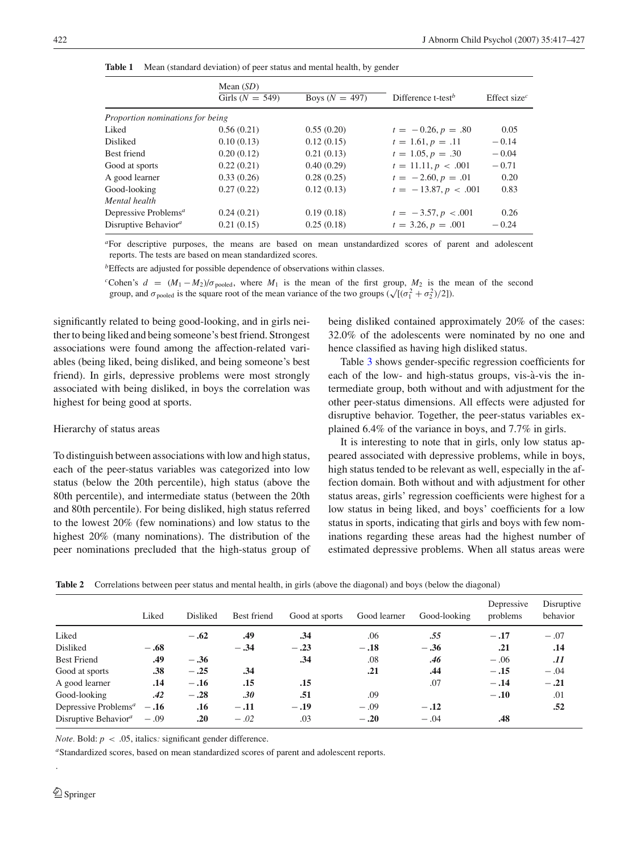<span id="page-5-0"></span>**Table 1** Mean (standard deviation) of peer status and mental health, by gender

|                                  | Mean $(SD)$         |                  |                                                |                 |  |  |  |
|----------------------------------|---------------------|------------------|------------------------------------------------|-----------------|--|--|--|
|                                  | Girls ( $N = 549$ ) | Boys $(N = 497)$ | Difference $t$ -test <sup><math>b</math></sup> | Effect size $c$ |  |  |  |
| Proportion nominations for being |                     |                  |                                                |                 |  |  |  |
| Liked                            | 0.56(0.21)          | 0.55(0.20)       | $t = -0.26, p = .80$                           | 0.05            |  |  |  |
| Disliked                         | 0.10(0.13)          | 0.12(0.15)       | $t = 1.61, p = .11$                            | $-0.14$         |  |  |  |
| Best friend                      | 0.20(0.12)          | 0.21(0.13)       | $t = 1.05, p = .30$                            | $-0.04$         |  |  |  |
| Good at sports                   | 0.22(0.21)          | 0.40(0.29)       | $t = 11.11, p < .001$                          | $-0.71$         |  |  |  |
| A good learner                   | 0.33(0.26)          | 0.28(0.25)       | $t = -2.60, p = .01$                           | 0.20            |  |  |  |
| Good-looking                     | 0.27(0.22)          | 0.12(0.13)       | $t = -13.87, p < .001$                         | 0.83            |  |  |  |
| Mental health                    |                     |                  |                                                |                 |  |  |  |
| Depressive Problems <sup>a</sup> | 0.24(0.21)          | 0.19(0.18)       | $t = -3.57, p < 0.001$                         | 0.26            |  |  |  |
| Disruptive Behavior <sup>a</sup> | 0.21(0.15)          | 0.25(0.18)       | $t = 3.26, p = .001$                           | $-0.24$         |  |  |  |

*<sup>a</sup>*For descriptive purposes, the means are based on mean unstandardized scores of parent and adolescent reports. The tests are based on mean standardized scores.

*<sup>b</sup>*Effects are adjusted for possible dependence of observations within classes.

*c*Cohen's  $d = (M_1 - M_2)/\sigma_{pooled}$ , where  $M_1$  is the mean of the first group,  $M_2$  is the mean of the second group, and  $\sigma_{\text{pooled}}$  is the square root of the mean variance of the two groups ( $\sqrt{[(\sigma_1^2 + \sigma_2^2)/2]}$ ).

significantly related to being good-looking, and in girls neither to being liked and being someone's best friend. Strongest associations were found among the affection-related variables (being liked, being disliked, and being someone's best friend). In girls, depressive problems were most strongly associated with being disliked, in boys the correlation was highest for being good at sports.

#### Hierarchy of status areas

To distinguish between associations with low and high status, each of the peer-status variables was categorized into low status (below the 20th percentile), high status (above the 80th percentile), and intermediate status (between the 20th and 80th percentile). For being disliked, high status referred to the lowest 20% (few nominations) and low status to the highest 20% (many nominations). The distribution of the peer nominations precluded that the high-status group of being disliked contained approximately 20% of the cases: 32.0% of the adolescents were nominated by no one and hence classified as having high disliked status.

Table [3](#page-6-0) shows gender-specific regression coefficients for each of the low- and high-status groups, vis-à-vis the intermediate group, both without and with adjustment for the other peer-status dimensions. All effects were adjusted for disruptive behavior. Together, the peer-status variables explained 6.4% of the variance in boys, and 7.7% in girls.

It is interesting to note that in girls, only low status appeared associated with depressive problems, while in boys, high status tended to be relevant as well, especially in the affection domain. Both without and with adjustment for other status areas, girls' regression coefficients were highest for a low status in being liked, and boys' coefficients for a low status in sports, indicating that girls and boys with few nominations regarding these areas had the highest number of estimated depressive problems. When all status areas were

|  | Table 2 Correlations between peer status and mental health, in girls (above the diagonal) and boys (below the diagonal) |  |  |  |  |
|--|-------------------------------------------------------------------------------------------------------------------------|--|--|--|--|
|--|-------------------------------------------------------------------------------------------------------------------------|--|--|--|--|

<span id="page-5-1"></span>

|                                         | Liked  | Disliked | Best friend | Good at sports | Good learner | Good-looking | Depressive<br>problems | Disruptive<br>behavior |
|-----------------------------------------|--------|----------|-------------|----------------|--------------|--------------|------------------------|------------------------|
| Liked                                   |        | $-.62$   | .49         | .34            | .06          | .55          | $-.17$                 | $-.07$                 |
| Disliked                                | $-.68$ |          | $-.34$      | $-.23$         | $-.18$       | $-.36$       | .21                    | .14                    |
| <b>Best Friend</b>                      | .49    | $-.36$   |             | .34            | .08          | .46          | $-.06$                 | .11                    |
| Good at sports                          | .38    | $-.25$   | .34         |                | .21          | .44          | $-.15$                 | $-.04$                 |
| A good learner                          | .14    | $-.16$   | .15         | .15            |              | .07          | $-.14$                 | $-.21$                 |
| Good-looking                            | .42    | $-.28$   | .30         | .51            | .09          |              | $-.10$                 | .01                    |
| Depressive Problems <sup>a</sup>        | $-.16$ | .16      | $-.11$      | $-.19$         | $-.09$       | $-.12$       |                        | .52                    |
| Disruptive Behavior <sup><i>a</i></sup> | $-.09$ | .20      | $-.02$      | .03            | $-.20$       | $-.04$       | .48                    |                        |

*Note.* Bold:  $p < .05$ , italics: significant gender difference.

<sup>a</sup>Standardized scores, based on mean standardized scores of parent and adolescent reports.

.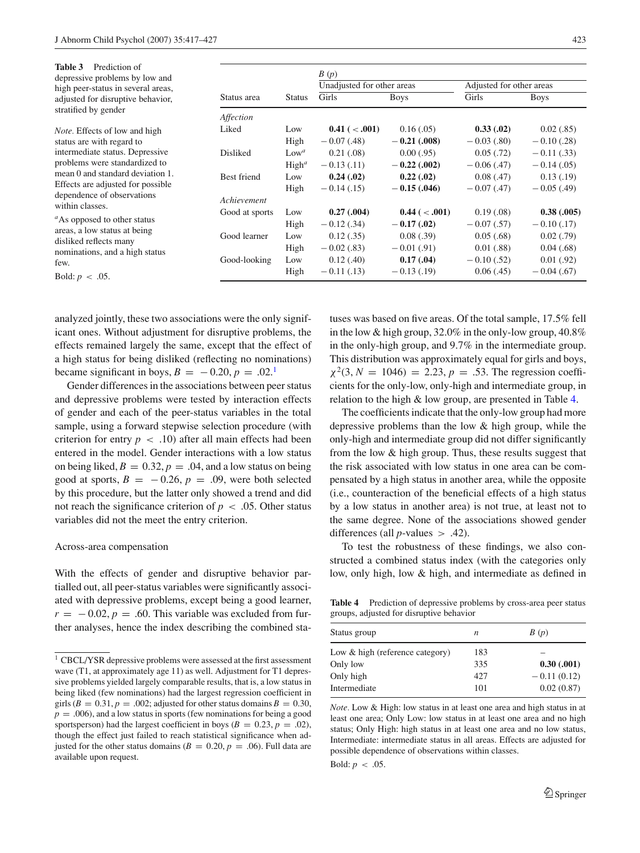<span id="page-6-0"></span>**Table 3** Prediction of depressive problems by low and high peer-status in several areas, adjusted for disruptive behavior, stratified by gender

*Note.* Effects of low and high status are with regard to intermediate status. Depressive problems were standardized to mean 0 and standard deviation 1. Effects are adjusted for possible dependence of observations within classes.

*<sup>a</sup>*As opposed to other status areas, a low status at being disliked reflects many nominations, and a high status few.

Bold:  $p < .05$ .

|                |                   | B(p)                       |                     |                          |               |  |
|----------------|-------------------|----------------------------|---------------------|--------------------------|---------------|--|
|                | <b>Status</b>     | Unadjusted for other areas |                     | Adjusted for other areas |               |  |
| Status area    |                   | Girls                      | <b>Boys</b>         | Girls                    | <b>Boys</b>   |  |
| Affection      |                   |                            |                     |                          |               |  |
| Liked          | Low               | $0.41$ ( $< .001$ )        | 0.16(0.05)          | 0.33(0.02)               | 0.02(0.85)    |  |
|                | High              | $-0.07(0.48)$              | $-0.21(0.008)$      | $-0.03(0.80)$            | $-0.10$ (.28) |  |
| Disliked       | $Low^a$           | 0.21(.08)                  | 0.00(0.95)          | 0.05(0.72)               | $-0.11(.33)$  |  |
|                | High <sup>a</sup> | $-0.13(0.11)$              | $-0.22$ (.002)      | $-0.06(0.47)$            | $-0.14(0.05)$ |  |
| Best friend    | Low               | 0.24(0.02)                 | 0.22(0.02)          | 0.08(0.47)               | 0.13(0.19)    |  |
|                | High              | $-0.14(0.15)$              | $-0.15(.046)$       | $-0.07(0.47)$            | $-0.05(0.49)$ |  |
| Achievement    |                   |                            |                     |                          |               |  |
| Good at sports | Low               | 0.27(0.004)                | $0.44$ ( $< .001$ ) | 0.19(0.08)               | 0.38(.005)    |  |
|                | High              | $-0.12$ (.34)              | $-0.17(0.02)$       | $-0.07$ (.57)            | $-0.10$ (.17) |  |
| Good learner   | Low               | 0.12(0.35)                 | 0.08(.39)           | 0.05(0.68)               | 0.02(0.79)    |  |
|                | High              | $-0.02$ (.83)              | $-0.01(0.91)$       | 0.01(0.88)               | 0.04(0.68)    |  |
| Good-looking   | Low               | 0.12(0.40)                 | 0.17(0.04)          | $-0.10$ (.52)            | 0.01(0.92)    |  |
|                | High              | $-0.11(0.13)$              | $-0.13(0.19)$       | 0.06(0.45)               | $-0.04$ (.67) |  |

analyzed jointly, these two associations were the only significant ones. Without adjustment for disruptive problems, the effects remained largely the same, except that the effect of a high status for being disliked (reflecting no nominations) became significant in boys,  $B = -0.20$ ,  $p = .02$ .<sup>[1](#page-6-1)</sup>

Gender differences in the associations between peer status and depressive problems were tested by interaction effects of gender and each of the peer-status variables in the total sample, using a forward stepwise selection procedure (with criterion for entry  $p < .10$ ) after all main effects had been entered in the model. Gender interactions with a low status on being liked,  $B = 0.32$ ,  $p = .04$ , and a low status on being good at sports,  $B = -0.26$ ,  $p = .09$ , were both selected by this procedure, but the latter only showed a trend and did not reach the significance criterion of  $p < .05$ . Other status variables did not the meet the entry criterion.

# Across-area compensation

With the effects of gender and disruptive behavior partialled out, all peer-status variables were significantly associated with depressive problems, except being a good learner,  $r = -0.02$ ,  $p = .60$ . This variable was excluded from further analyses, hence the index describing the combined sta-

tuses was based on five areas. Of the total sample, 17.5% fell in the low & high group, 32.0% in the only-low group, 40.8% in the only-high group, and 9.7% in the intermediate group. This distribution was approximately equal for girls and boys,  $\chi^2(3, N = 1046) = 2.23, p = .53$ . The regression coefficients for the only-low, only-high and intermediate group, in relation to the high & low group, are presented in Table [4.](#page-6-2)

The coefficients indicate that the only-low group had more depressive problems than the low & high group, while the only-high and intermediate group did not differ significantly from the low & high group. Thus, these results suggest that the risk associated with low status in one area can be compensated by a high status in another area, while the opposite (i.e., counteraction of the beneficial effects of a high status by a low status in another area) is not true, at least not to the same degree. None of the associations showed gender differences (all  $p$ -values  $> .42$ ).

To test the robustness of these findings, we also constructed a combined status index (with the categories only low, only high, low & high, and intermediate as defined in

<span id="page-6-2"></span>**Table 4** Prediction of depressive problems by cross-area peer status groups, adjusted for disruptive behavior

| Status group                    | n   | B(p)          |
|---------------------------------|-----|---------------|
| Low & high (reference category) | 183 |               |
| Only low                        | 335 | 0.30(0.001)   |
| Only high                       | 427 | $-0.11(0.12)$ |
| Intermediate                    | 101 | 0.02(0.87)    |

*Note.* Low & High: low status in at least one area and high status in at least one area; Only Low: low status in at least one area and no high status; Only High: high status in at least one area and no low status, Intermediate: intermediate status in all areas. Effects are adjusted for possible dependence of observations within classes.

Bold:  $p < .05$ .

<span id="page-6-1"></span> $1$  CBCL/YSR depressive problems were assessed at the first assessment wave (T1, at approximately age 11) as well. Adjustment for T1 depressive problems yielded largely comparable results, that is, a low status in being liked (few nominations) had the largest regression coefficient in girls ( $B = 0.31$ ,  $p = .002$ ; adjusted for other status domains  $B = 0.30$ ,  $p = .006$ , and a low status in sports (few nominations for being a good sportsperson) had the largest coefficient in boys ( $B = 0.23$ ,  $p = .02$ ), though the effect just failed to reach statistical significance when adjusted for the other status domains ( $B = 0.20, p = .06$ ). Full data are available upon request.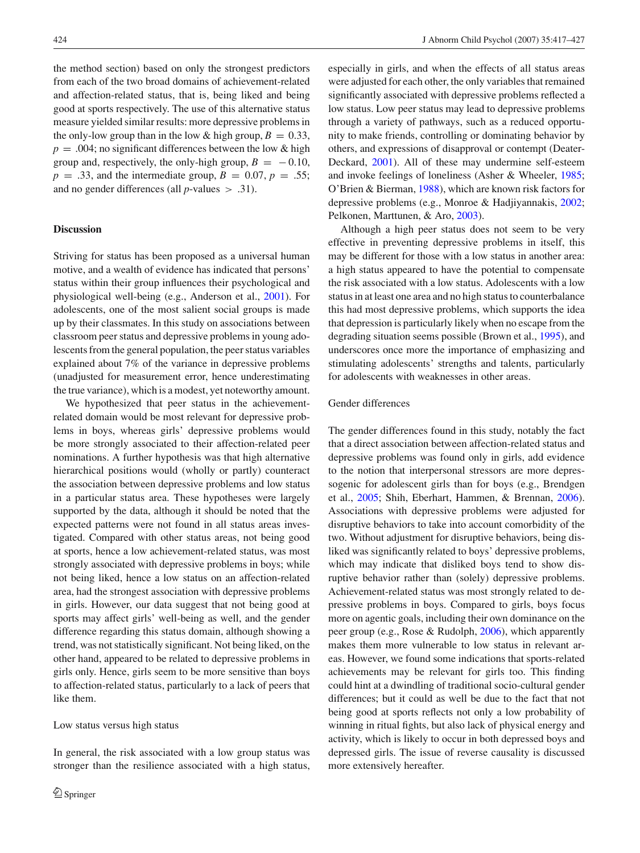the method section) based on only the strongest predictors from each of the two broad domains of achievement-related and affection-related status, that is, being liked and being good at sports respectively. The use of this alternative status measure yielded similar results: more depressive problems in the only-low group than in the low  $&$  high group,  $B = 0.33$ ,  $p = .004$ ; no significant differences between the low & high group and, respectively, the only-high group,  $B = -0.10$ ,  $p = .33$ , and the intermediate group,  $B = 0.07$ ,  $p = .55$ ; and no gender differences (all *p*-values > .31).

## **Discussion**

Striving for status has been proposed as a universal human motive, and a wealth of evidence has indicated that persons' status within their group influences their psychological and physiological well-being (e.g., Anderson et al., [2001\)](#page-9-7). For adolescents, one of the most salient social groups is made up by their classmates. In this study on associations between classroom peer status and depressive problems in young adolescents from the general population, the peer status variables explained about 7% of the variance in depressive problems (unadjusted for measurement error, hence underestimating the true variance), which is a modest, yet noteworthy amount.

We hypothesized that peer status in the achievementrelated domain would be most relevant for depressive problems in boys, whereas girls' depressive problems would be more strongly associated to their affection-related peer nominations. A further hypothesis was that high alternative hierarchical positions would (wholly or partly) counteract the association between depressive problems and low status in a particular status area. These hypotheses were largely supported by the data, although it should be noted that the expected patterns were not found in all status areas investigated. Compared with other status areas, not being good at sports, hence a low achievement-related status, was most strongly associated with depressive problems in boys; while not being liked, hence a low status on an affection-related area, had the strongest association with depressive problems in girls. However, our data suggest that not being good at sports may affect girls' well-being as well, and the gender difference regarding this status domain, although showing a trend, was not statistically significant. Not being liked, on the other hand, appeared to be related to depressive problems in girls only. Hence, girls seem to be more sensitive than boys to affection-related status, particularly to a lack of peers that like them.

#### Low status versus high status

In general, the risk associated with a low group status was stronger than the resilience associated with a high status, especially in girls, and when the effects of all status areas were adjusted for each other, the only variables that remained significantly associated with depressive problems reflected a low status. Low peer status may lead to depressive problems through a variety of pathways, such as a reduced opportunity to make friends, controlling or dominating behavior by others, and expressions of disapproval or contempt (Deater-Deckard, [2001\)](#page-9-22). All of these may undermine self-esteem and invoke feelings of loneliness (Asher & Wheeler, [1985;](#page-9-11) O'Brien & Bierman, [1988\)](#page-10-11), which are known risk factors for depressive problems (e.g., Monroe & Hadjiyannakis, [2002;](#page-10-12) Pelkonen, Marttunen, & Aro, [2003\)](#page-10-25).

Although a high peer status does not seem to be very effective in preventing depressive problems in itself, this may be different for those with a low status in another area: a high status appeared to have the potential to compensate the risk associated with a low status. Adolescents with a low status in at least one area and no high status to counterbalance this had most depressive problems, which supports the idea that depression is particularly likely when no escape from the degrading situation seems possible (Brown et al., [1995\)](#page-9-5), and underscores once more the importance of emphasizing and stimulating adolescents' strengths and talents, particularly for adolescents with weaknesses in other areas.

# Gender differences

The gender differences found in this study, notably the fact that a direct association between affection-related status and depressive problems was found only in girls, add evidence to the notion that interpersonal stressors are more depressogenic for adolescent girls than for boys (e.g., Brendgen et al., [2005;](#page-9-13) Shih, Eberhart, Hammen, & Brennan, [2006\)](#page-10-26). Associations with depressive problems were adjusted for disruptive behaviors to take into account comorbidity of the two. Without adjustment for disruptive behaviors, being disliked was significantly related to boys' depressive problems, which may indicate that disliked boys tend to show disruptive behavior rather than (solely) depressive problems. Achievement-related status was most strongly related to depressive problems in boys. Compared to girls, boys focus more on agentic goals, including their own dominance on the peer group (e.g., Rose & Rudolph, [2006\)](#page-10-20), which apparently makes them more vulnerable to low status in relevant areas. However, we found some indications that sports-related achievements may be relevant for girls too. This finding could hint at a dwindling of traditional socio-cultural gender differences; but it could as well be due to the fact that not being good at sports reflects not only a low probability of winning in ritual fights, but also lack of physical energy and activity, which is likely to occur in both depressed boys and depressed girls. The issue of reverse causality is discussed more extensively hereafter.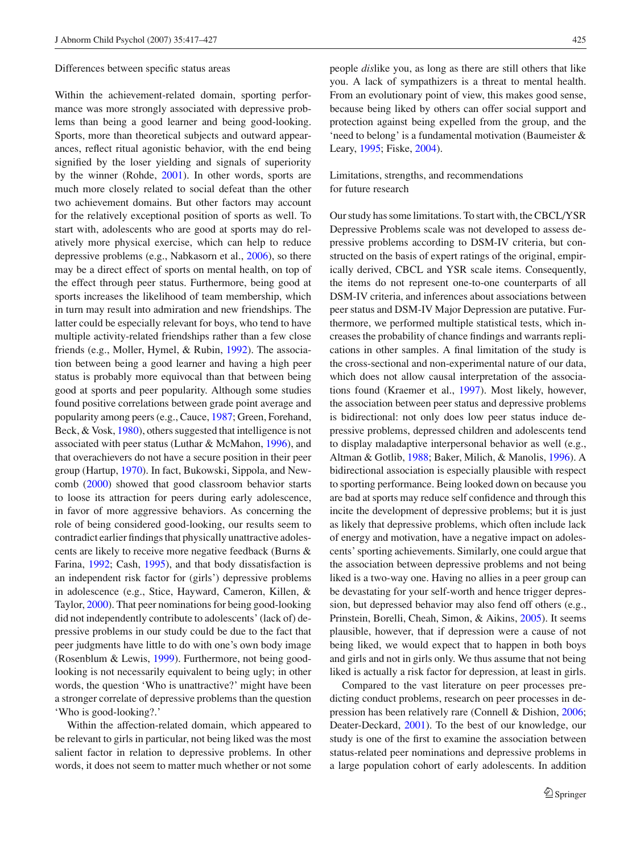#### Differences between specific status areas

Within the achievement-related domain, sporting performance was more strongly associated with depressive problems than being a good learner and being good-looking. Sports, more than theoretical subjects and outward appearances, reflect ritual agonistic behavior, with the end being signified by the loser yielding and signals of superiority by the winner (Rohde, [2001\)](#page-10-9). In other words, sports are much more closely related to social defeat than the other two achievement domains. But other factors may account for the relatively exceptional position of sports as well. To start with, adolescents who are good at sports may do relatively more physical exercise, which can help to reduce depressive problems (e.g., Nabkasorn et al., [2006\)](#page-10-27), so there may be a direct effect of sports on mental health, on top of the effect through peer status. Furthermore, being good at sports increases the likelihood of team membership, which in turn may result into admiration and new friendships. The latter could be especially relevant for boys, who tend to have multiple activity-related friendships rather than a few close friends (e.g., Moller, Hymel, & Rubin, [1992\)](#page-10-28). The association between being a good learner and having a high peer status is probably more equivocal than that between being good at sports and peer popularity. Although some studies found positive correlations between grade point average and popularity among peers (e.g., Cauce, [1987;](#page-9-23) Green, Forehand, Beck, & Vosk, [1980\)](#page-9-24), others suggested that intelligence is not associated with peer status (Luthar & McMahon, [1996\)](#page-10-29), and that overachievers do not have a secure position in their peer group (Hartup, [1970\)](#page-10-30). In fact, Bukowski, Sippola, and Newcomb [\(2000\)](#page-9-25) showed that good classroom behavior starts to loose its attraction for peers during early adolescence, in favor of more aggressive behaviors. As concerning the role of being considered good-looking, our results seem to contradict earlier findings that physically unattractive adolescents are likely to receive more negative feedback (Burns & Farina, [1992;](#page-9-26) Cash, [1995\)](#page-9-27), and that body dissatisfaction is an independent risk factor for (girls') depressive problems in adolescence (e.g., Stice, Hayward, Cameron, Killen, & Taylor, [2000\)](#page-10-31). That peer nominations for being good-looking did not independently contribute to adolescents' (lack of) depressive problems in our study could be due to the fact that peer judgments have little to do with one's own body image (Rosenblum & Lewis, [1999\)](#page-10-32). Furthermore, not being goodlooking is not necessarily equivalent to being ugly; in other words, the question 'Who is unattractive?' might have been a stronger correlate of depressive problems than the question 'Who is good-looking?.'

Within the affection-related domain, which appeared to be relevant to girls in particular, not being liked was the most salient factor in relation to depressive problems. In other words, it does not seem to matter much whether or not some

people *dis*like you, as long as there are still others that like you. A lack of sympathizers is a threat to mental health. From an evolutionary point of view, this makes good sense, because being liked by others can offer social support and protection against being expelled from the group, and the 'need to belong' is a fundamental motivation (Baumeister & Leary, [1995;](#page-9-8) Fiske, [2004\)](#page-9-9).

# Limitations, strengths, and recommendations for future research

Our study has some limitations. To start with, the CBCL/YSR Depressive Problems scale was not developed to assess depressive problems according to DSM-IV criteria, but constructed on the basis of expert ratings of the original, empirically derived, CBCL and YSR scale items. Consequently, the items do not represent one-to-one counterparts of all DSM-IV criteria, and inferences about associations between peer status and DSM-IV Major Depression are putative. Furthermore, we performed multiple statistical tests, which increases the probability of chance findings and warrants replications in other samples. A final limitation of the study is the cross-sectional and non-experimental nature of our data, which does not allow causal interpretation of the associations found (Kraemer et al., [1997\)](#page-10-33). Most likely, however, the association between peer status and depressive problems is bidirectional: not only does low peer status induce depressive problems, depressed children and adolescents tend to display maladaptive interpersonal behavior as well (e.g., Altman & Gotlib, [1988;](#page-9-28) Baker, Milich, & Manolis, [1996\)](#page-9-29). A bidirectional association is especially plausible with respect to sporting performance. Being looked down on because you are bad at sports may reduce self confidence and through this incite the development of depressive problems; but it is just as likely that depressive problems, which often include lack of energy and motivation, have a negative impact on adolescents' sporting achievements. Similarly, one could argue that the association between depressive problems and not being liked is a two-way one. Having no allies in a peer group can be devastating for your self-worth and hence trigger depression, but depressed behavior may also fend off others (e.g., Prinstein, Borelli, Cheah, Simon, & Aikins, [2005\)](#page-10-34). It seems plausible, however, that if depression were a cause of not being liked, we would expect that to happen in both boys and girls and not in girls only. We thus assume that not being liked is actually a risk factor for depression, at least in girls.

Compared to the vast literature on peer processes predicting conduct problems, research on peer processes in depression has been relatively rare (Connell & Dishion, [2006;](#page-9-3) Deater-Deckard, [2001\)](#page-9-22). To the best of our knowledge, our study is one of the first to examine the association between status-related peer nominations and depressive problems in a large population cohort of early adolescents. In addition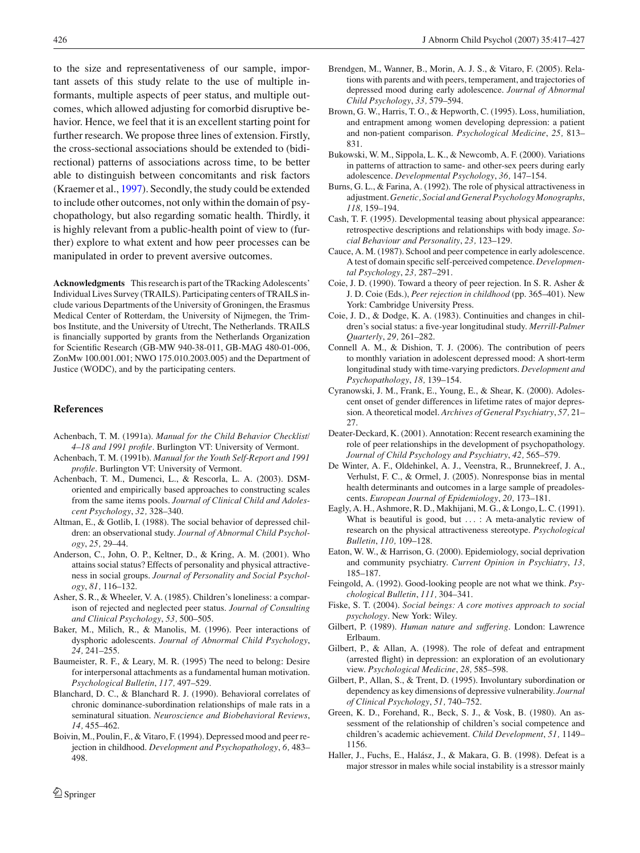to the size and representativeness of our sample, important assets of this study relate to the use of multiple informants, multiple aspects of peer status, and multiple outcomes, which allowed adjusting for comorbid disruptive behavior. Hence, we feel that it is an excellent starting point for further research. We propose three lines of extension. Firstly, the cross-sectional associations should be extended to (bidirectional) patterns of associations across time, to be better able to distinguish between concomitants and risk factors (Kraemer et al., [1997\)](#page-10-33). Secondly, the study could be extended to include other outcomes, not only within the domain of psychopathology, but also regarding somatic health. Thirdly, it is highly relevant from a public-health point of view to (further) explore to what extent and how peer processes can be manipulated in order to prevent aversive outcomes.

**Acknowledgments** This research is part of the TRacking Adolescents' Individual Lives Survey (TRAILS). Participating centers of TRAILS include various Departments of the University of Groningen, the Erasmus Medical Center of Rotterdam, the University of Nijmegen, the Trimbos Institute, and the University of Utrecht, The Netherlands. TRAILS is financially supported by grants from the Netherlands Organization for Scientific Research (GB-MW 940-38-011, GB-MAG 480-01-006, ZonMw 100.001.001; NWO 175.010.2003.005) and the Department of Justice (WODC), and by the participating centers.

## **References**

- Achenbach, T. M. (1991a). *Manual for the Child Behavior Checklist/ 4–18 and 1991 profile*. Burlington VT: University of Vermont.
- Achenbach, T. M. (1991b). *Manual for the Youth Self-Report and 1991 profile*. Burlington VT: University of Vermont.
- <span id="page-9-20"></span>Achenbach, T. M., Dumenci, L., & Rescorla, L. A. (2003). DSMoriented and empirically based approaches to constructing scales from the same items pools. *Journal of Clinical Child and Adolescent Psychology*, *32,* 328–340.
- <span id="page-9-21"></span>Altman, E., & Gotlib, I. (1988). The social behavior of depressed children: an observational study. *Journal of Abnormal Child Psychology*, *25,* 29–44.
- <span id="page-9-28"></span>Anderson, C., John, O. P., Keltner, D., & Kring, A. M. (2001). Who attains social status? Effects of personality and physical attractiveness in social groups. *Journal of Personality and Social Psychology*, *81,* 116–132.
- <span id="page-9-7"></span>Asher, S. R., & Wheeler, V. A. (1985). Children's loneliness: a comparison of rejected and neglected peer status. *Journal of Consulting and Clinical Psychology*, *53,* 500–505.
- <span id="page-9-11"></span>Baker, M., Milich, R., & Manolis, M. (1996). Peer interactions of dysphoric adolescents. *Journal of Abnormal Child Psychology*, *24,* 241–255.
- <span id="page-9-29"></span>Baumeister, R. F., & Leary, M. R. (1995) The need to belong: Desire for interpersonal attachments as a fundamental human motivation. *Psychological Bulletin*, *117,* 497–529.
- <span id="page-9-8"></span>Blanchard, D. C., & Blanchard R. J. (1990). Behavioral correlates of chronic dominance-subordination relationships of male rats in a seminatural situation. *Neuroscience and Biobehavioral Reviews*, *14,* 455–462.
- <span id="page-9-12"></span><span id="page-9-0"></span>Boivin, M., Poulin, F., & Vitaro, F. (1994). Depressed mood and peer rejection in childhood. *Development and Psychopathology*, *6,* 483– 498.
- Brendgen, M., Wanner, B., Morin, A. J. S., & Vitaro, F. (2005). Relations with parents and with peers, temperament, and trajectories of depressed mood during early adolescence. *Journal of Abnormal Child Psychology*, *33,* 579–594.
- <span id="page-9-13"></span>Brown, G. W., Harris, T. O., & Hepworth, C. (1995). Loss, humiliation, and entrapment among women developing depression: a patient and non-patient comparison. *Psychological Medicine*, *25,* 813– 831.
- <span id="page-9-5"></span>Bukowski, W. M., Sippola, L. K., & Newcomb, A. F. (2000). Variations in patterns of attraction to same- and other-sex peers during early adolescence. *Developmental Psychology*, *36,* 147–154.
- <span id="page-9-25"></span>Burns, G. L., & Farina, A. (1992). The role of physical attractiveness in adjustment. *Genetic, Social and General Psychology Monographs*, *118,* 159–194.
- <span id="page-9-26"></span>Cash, T. F. (1995). Developmental teasing about physical appearance: retrospective descriptions and relationships with body image. *Social Behaviour and Personality*, *23,* 123–129.
- <span id="page-9-27"></span>Cauce, A. M. (1987). School and peer competence in early adolescence. A test of domain specific self-perceived competence. *Developmental Psychology*, *23,* 287–291.
- <span id="page-9-23"></span>Coie, J. D. (1990). Toward a theory of peer rejection. In S. R. Asher & J. D. Coie (Eds.), *Peer rejection in childhood* (pp. 365–401). New York: Cambridge University Press.
- <span id="page-9-10"></span>Coie, J. D., & Dodge, K. A. (1983). Continuities and changes in children's social status: a five-year longitudinal study. *Merrill-Palmer Quarterly*, *29,* 261–282.
- <span id="page-9-15"></span>Connell A. M., & Dishion, T. J. (2006). The contribution of peers to monthly variation in adolescent depressed mood: A short-term longitudinal study with time-varying predictors. *Development and Psychopathology*, *18,* 139–154.
- <span id="page-9-3"></span>Cyranowski, J. M., Frank, E., Young, E., & Shear, K. (2000). Adolescent onset of gender differences in lifetime rates of major depression. A theoretical model. *Archives of General Psychiatry*, *57,* 21– 27.
- <span id="page-9-14"></span>Deater-Deckard, K. (2001). Annotation: Recent research examining the role of peer relationships in the development of psychopathology. *Journal of Child Psychology and Psychiatry*, *42,* 565–579.
- <span id="page-9-22"></span><span id="page-9-19"></span>De Winter, A. F., Oldehinkel, A. J., Veenstra, R., Brunnekreef, J. A., Verhulst, F. C., & Ormel, J. (2005). Nonresponse bias in mental health determinants and outcomes in a large sample of preadolescents. *European Journal of Epidemiology*, *20,* 173–181.
- <span id="page-9-16"></span>Eagly, A. H., Ashmore, R. D., Makhijani, M. G., & Longo, L. C. (1991). What is beautiful is good, but ... : A meta-analytic review of research on the physical attractiveness stereotype. *Psychological Bulletin*, *110,* 109–128.
- <span id="page-9-17"></span>Eaton, W. W., & Harrison, G. (2000). Epidemiology, social deprivation and community psychiatry. *Current Opinion in Psychiatry*, *13,* 185–187.
- <span id="page-9-1"></span>Feingold, A. (1992). Good-looking people are not what we think. *Psychological Bulletin*, *111,* 304–341.
- <span id="page-9-18"></span>Fiske, S. T. (2004). *Social beings: A core motives approach to social psychology*. New York: Wiley.
- <span id="page-9-9"></span>Gilbert, P. (1989). *Human nature and suffering*. London: Lawrence Erlbaum.
- <span id="page-9-6"></span>Gilbert, P., & Allan, A. (1998). The role of defeat and entrapment (arrested flight) in depression: an exploration of an evolutionary view. *Psychological Medicine*, *28,* 585–598.
- <span id="page-9-4"></span>Gilbert, P., Allan, S., & Trent, D. (1995). Involuntary subordination or dependency as key dimensions of depressive vulnerability. *Journal of Clinical Psychology*, *51,* 740–752.
- <span id="page-9-2"></span>Green, K. D., Forehand, R., Beck, S. J., & Vosk, B. (1980). An assessment of the relationship of children's social competence and children's academic achievement. *Child Development*, *51,* 1149– 1156.
- <span id="page-9-24"></span>Haller, J., Fuchs, E., Halász, J., & Makara, G. B. (1998). Defeat is a major stressor in males while social instability is a stressor mainly